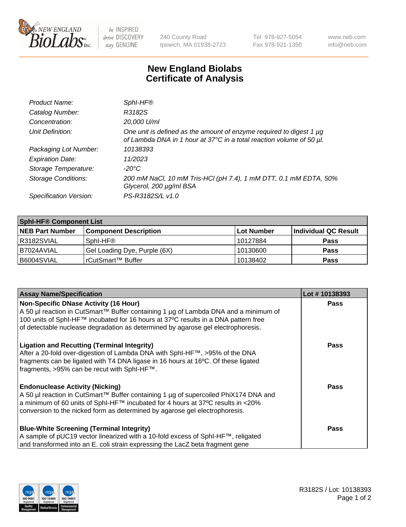

be INSPIRED drive DISCOVERY stay GENUINE

240 County Road Ipswich, MA 01938-2723 Tel 978-927-5054 Fax 978-921-1350 www.neb.com info@neb.com

## **New England Biolabs Certificate of Analysis**

| Product Name:              | Sphl-HF®                                                                                                                                    |
|----------------------------|---------------------------------------------------------------------------------------------------------------------------------------------|
| Catalog Number:            | R3182S                                                                                                                                      |
| Concentration:             | 20,000 U/ml                                                                                                                                 |
| Unit Definition:           | One unit is defined as the amount of enzyme required to digest 1 µg<br>of Lambda DNA in 1 hour at 37°C in a total reaction volume of 50 µl. |
| Packaging Lot Number:      | 10138393                                                                                                                                    |
| <b>Expiration Date:</b>    | 11/2023                                                                                                                                     |
| Storage Temperature:       | -20°C                                                                                                                                       |
| <b>Storage Conditions:</b> | 200 mM NaCl, 10 mM Tris-HCl (pH 7.4), 1 mM DTT, 0.1 mM EDTA, 50%<br>Glycerol, 200 µg/ml BSA                                                 |
| Specification Version:     | PS-R3182S/L v1.0                                                                                                                            |

| <b>Sphl-HF® Component List</b> |                              |            |                      |  |  |
|--------------------------------|------------------------------|------------|----------------------|--|--|
| <b>NEB Part Number</b>         | <b>Component Description</b> | Lot Number | Individual QC Result |  |  |
| R3182SVIAL                     | Sphl-HF®                     | l 10127884 | <b>Pass</b>          |  |  |
| B7024AVIAL                     | Gel Loading Dye, Purple (6X) | 10130600   | <b>Pass</b>          |  |  |
| B6004SVIAL                     | l rCutSmart™ Buffer          | 10138402   | <b>Pass</b>          |  |  |

| <b>Assay Name/Specification</b>                                                     | Lot #10138393 |
|-------------------------------------------------------------------------------------|---------------|
| Non-Specific DNase Activity (16 Hour)                                               | <b>Pass</b>   |
| A 50 µl reaction in CutSmart™ Buffer containing 1 µg of Lambda DNA and a minimum of |               |
| 100 units of SphI-HF™ incubated for 16 hours at 37°C results in a DNA pattern free  |               |
| of detectable nuclease degradation as determined by agarose gel electrophoresis.    |               |
| <b>Ligation and Recutting (Terminal Integrity)</b>                                  | <b>Pass</b>   |
| After a 20-fold over-digestion of Lambda DNA with SphI-HF™, >95% of the DNA         |               |
| fragments can be ligated with T4 DNA ligase in 16 hours at 16°C. Of these ligated   |               |
| fragments, >95% can be recut with SphI-HF™.                                         |               |
| <b>Endonuclease Activity (Nicking)</b>                                              | <b>Pass</b>   |
| A 50 µl reaction in CutSmart™ Buffer containing 1 µg of supercoiled PhiX174 DNA and |               |
| a minimum of 60 units of SphI-HF™ incubated for 4 hours at 37°C results in <20%     |               |
| conversion to the nicked form as determined by agarose gel electrophoresis.         |               |
| <b>Blue-White Screening (Terminal Integrity)</b>                                    | <b>Pass</b>   |
| A sample of pUC19 vector linearized with a 10-fold excess of SphI-HF™, religated    |               |
| and transformed into an E. coli strain expressing the LacZ beta fragment gene       |               |